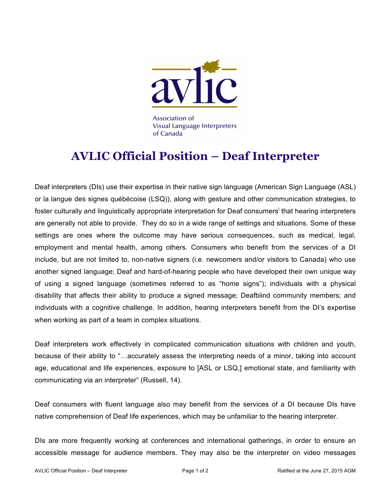

Association of **Visual Language Interpreters** of Canada

## **AVLIC Official Position – Deaf Interpreter**

Deaf interpreters (DIs) use their expertise in their native sign language (American Sign Language (ASL) or la langue des signes québécoise (LSQ)), along with gesture and other communication strategies, to foster culturally and linguistically appropriate interpretation for Deaf consumers<sup>i</sup> that hearing interpreters are generally not able to provide. They do so in a wide range of settings and situations. Some of these settings are ones where the outcome may have serious consequences, such as medical, legal, employment and mental health, among others. Consumers who benefit from the services of a DI include, but are not limited to, non-native signers (i.e. newcomers and/or visitors to Canada) who use another signed language; Deaf and hard-of-hearing people who have developed their own unique way of using a signed language (sometimes referred to as "home signs"); individuals with a physical disability that affects their ability to produce a signed message; Deafblind community members; and individuals with a cognitive challenge. In addition, hearing interpreters benefit from the DI's expertise when working as part of a team in complex situations.

Deaf interpreters work effectively in complicated communication situations with children and youth, because of their ability to "…accurately assess the interpreting needs of a minor, taking into account age, educational and life experiences, exposure to [ASL or LSQ,] emotional state, and familiarity with communicating via an interpreter" (Russell, 14).

Deaf consumers with fluent language also may benefit from the services of a DI because DIs have native comprehension of Deaf life experiences, which may be unfamiliar to the hearing interpreter.

DIs are more frequently working at conferences and international gatherings, in order to ensure an accessible message for audience members. They may also be the interpreter on video messages